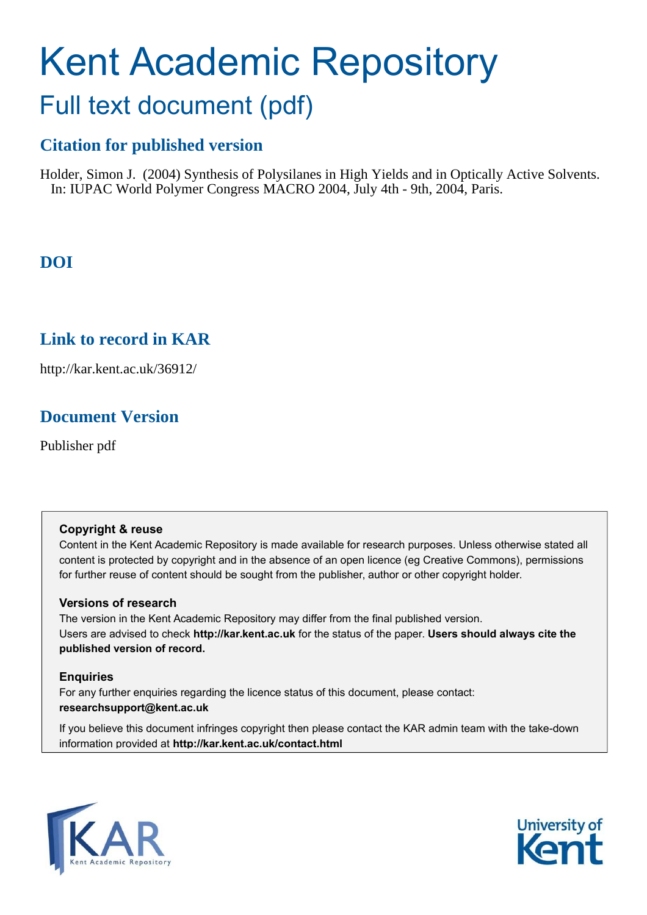# Kent Academic Repository Full text document (pdf)

# **Citation for published version**

Holder, Simon J. (2004) Synthesis of Polysilanes in High Yields and in Optically Active Solvents. In: IUPAC World Polymer Congress MACRO 2004, July 4th - 9th, 2004, Paris.

# **DOI**

## **Link to record in KAR**

http://kar.kent.ac.uk/36912/

# **Document Version**

Publisher pdf

## **Copyright & reuse**

Content in the Kent Academic Repository is made available for research purposes. Unless otherwise stated all content is protected by copyright and in the absence of an open licence (eg Creative Commons), permissions for further reuse of content should be sought from the publisher, author or other copyright holder.

## **Versions of research**

The version in the Kent Academic Repository may differ from the final published version. Users are advised to check **http://kar.kent.ac.uk** for the status of the paper. **Users should always cite the published version of record.**

## **Enquiries**

For any further enquiries regarding the licence status of this document, please contact: **researchsupport@kent.ac.uk**

If you believe this document infringes copyright then please contact the KAR admin team with the take-down information provided at **http://kar.kent.ac.uk/contact.html**



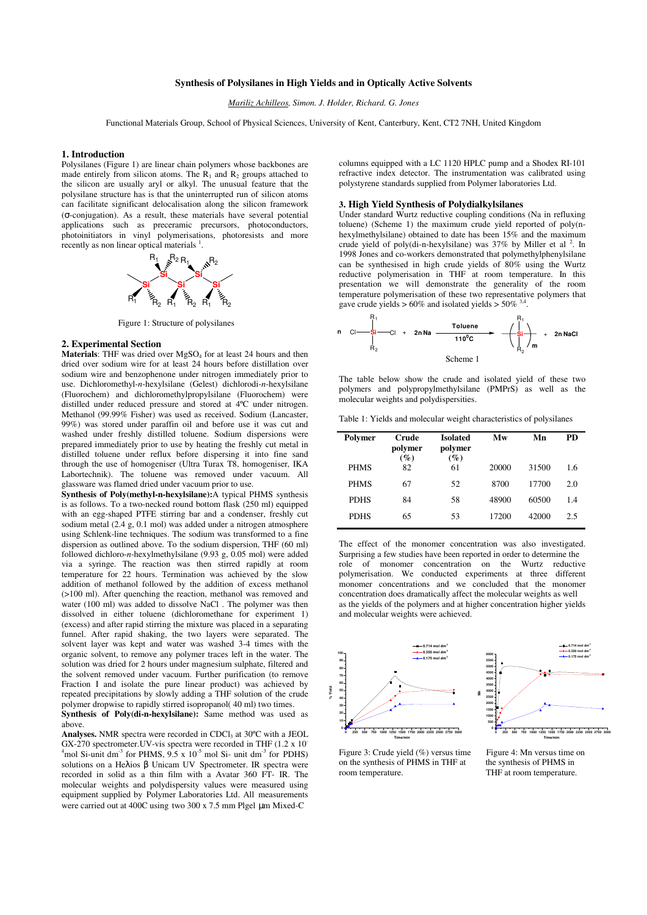## **Synthesis of Polysilanes in High Yields and in Optically Active Solvents**

*Mariliz Achilleos, Simon. J. Holder, Richard. G. Jones*

Functional Materials Group, School of Physical Sciences, University of Kent, Canterbury, Kent, CT2 7NH, United Kingdom

#### **1. Introduction**

Polysilanes (Figure 1) are linear chain polymers whose backbones are made entirely from silicon atoms. The  $R_1$  and  $R_2$  groups attached to the silicon are usually aryl or alkyl. The unusual feature that the polysilane structure has is that the uninterrupted run of silicon atoms can facilitate significant delocalisation along the silicon framework (σ-conjugation). As a result, these materials have several potential applications such as preceramic precursors, photoconductors, photoinitiators in vinyl polymerisations, photoresists and more recently as non linear optical materials  $<sup>1</sup>$ .</sup>



Figure 1: Structure of polysilanes

#### **2. Experimental Section**

**Materials**: THF was dried over MgSO<sub>4</sub> for at least 24 hours and then dried over sodium wire for at least 24 hours before distillation over sodium wire and benzophenone under nitrogen immediately prior to use. Dichloromethyl-*n*-hexylsilane (Gelest) dichlorodi-*n*-hexylsilane (Fluorochem) and dichloromethylpropylsilane (Fluorochem) were distilled under reduced pressure and stored at 4ºC under nitrogen. Methanol (99.99% Fisher) was used as received. Sodium (Lancaster, 99%) was stored under paraffin oil and before use it was cut and washed under freshly distilled toluene. Sodium dispersions were prepared immediately prior to use by heating the freshly cut metal in distilled toluene under reflux before dispersing it into fine sand through the use of homogeniser (Ultra Turax T8, homogeniser, IKA Labortechnik). The toluene was removed under vacuum. All glassware was flamed dried under vacuum prior to use.

**Synthesis of Poly(methyl-n-hexylsilane):**A typical PHMS synthesis is as follows. To a two-necked round bottom flask (250 ml) equipped with an egg-shaped PTFE stirring bar and a condenser, freshly cut sodium metal (2.4 g, 0.1 mol) was added under a nitrogen atmosphere using Schlenk-line techniques. The sodium was transformed to a fine dispersion as outlined above. To the sodium dispersion, THF (60 ml) followed dichloro-*n*-hexylmethylsilane (9.93 g, 0.05 mol) were added via a syringe. The reaction was then stirred rapidly at room temperature for 22 hours. Termination was achieved by the slow addition of methanol followed by the addition of excess methanol (>100 ml). After quenching the reaction, methanol was removed and water (100 ml) was added to dissolve NaCl. The polymer was then dissolved in either toluene (dichloromethane for experiment 1) (excess) and after rapid stirring the mixture was placed in a separating funnel. After rapid shaking, the two layers were separated. The solvent layer was kept and water was washed 3-4 times with the organic solvent, to remove any polymer traces left in the water. The solution was dried for 2 hours under magnesium sulphate, filtered and the solvent removed under vacuum. Further purification (to remove Fraction I and isolate the pure linear product) was achieved by repeated precipitations by slowly adding a THF solution of the crude polymer dropwise to rapidly stirred isopropanol( 40 ml) two times.

**Synthesis of Poly(di-n-hexylsilane):** Same method was used as above.

Analyses. NMR spectra were recorded in CDCl<sub>3</sub> at 30°C with a JEOL GX-270 spectrometer. UV-vis spectra were recorded in THF (1.2 x 10<sup>-</sup>  $4 \text{mol}$  Si-unit dm<sup>-3</sup> for PHMS,  $9.5 \times 10^{-5}$  mol Si-unit dm<sup>-3</sup> for PDHS) solutions on a Heλios β Unicam UV Spectrometer. IR spectra were recorded in solid as a thin film with a Avatar 360 FT- IR. The molecular weights and polydispersity values were measured using equipment supplied by Polymer Laboratories Ltd. All measurements were carried out at 400C using two 300 x 7.5 mm Plgel µm Mixed-C

columns equipped with a LC 1120 HPLC pump and a Shodex RI-101 refractive index detector. The instrumentation was calibrated using polystyrene standards supplied from Polymer laboratories Ltd.

#### **3. High Yield Synthesis of Polydialkylsilanes**

Under standard Wurtz reductive coupling conditions (Na in refluxing toluene) (Scheme 1) the maximum crude yield reported of poly(nhexylmethylsilane) obtained to date has been 15% and the maximum crude yield of poly(di-n-hexylsilane) was  $37\%$  by Miller et al  $^2$ . In 1998 Jones and co-workers demonstrated that polymethylphenylsilane can be synthesised in high crude yields of 80% using the Wurtz reductive polymerisation in THF at room temperature. In this presentation we will demonstrate the generality of the room temperature polymerisation of these two representative polymers that gave crude yields >  $60\%$  and isolated yields >  $50\%$ <sup>3</sup> .

n Cl 
$$
\frac{R_1}{S_1}
$$
  
\nR<sub>2</sub> Cl + 2n Na  $\xrightarrow{Toluene}$   
\n110<sup>0</sup>C  
\nScheme 1  
\n  
\n110<sup>0</sup>C  
\n  
\n $R_1$   
\n $R_2$   
\n $m$   
\n2n NaCl

The table below show the crude and isolated yield of these two polymers and polypropylmethylsilane (PMPrS) as well as the molecular weights and polydispersities.

Table 1: Yields and molecular weight characteristics of polysilanes

| Polymer     | Crude<br>polymer<br>$(\%)$ | <b>Isolated</b><br>polymer<br>$(\%)$ | Mw    | Mn    | PD  |
|-------------|----------------------------|--------------------------------------|-------|-------|-----|
| <b>PHMS</b> | 82                         | 61                                   | 20000 | 31500 | 1.6 |
| <b>PHMS</b> | 67                         | 52                                   | 8700  | 17700 | 2.0 |
| <b>PDHS</b> | 84                         | 58                                   | 48900 | 60500 | 1.4 |
| <b>PDHS</b> | 65                         | 53                                   | 17200 | 42000 | 2.5 |
|             |                            |                                      |       |       |     |

The effect of the monomer concentration was also investigated. Surprising a few studies have been reported in order to determine the role of monomer concentration on the Wurtz reductive polymerisation. We conducted experiments at three different monomer concentrations and we concluded that the monomer concentration does dramatically affect the molecular weights as well as the yields of the polymers and at higher concentration higher yields and molecular weights were achieved.



Figure 3: Crude yield (%) versus time Figure 4: Mn versus time on<br>on the synthesis of PHMS in THF at the synthesis of PHMS in on the synthesis of PHMS in THF at room temperature.

THF at room temperature.